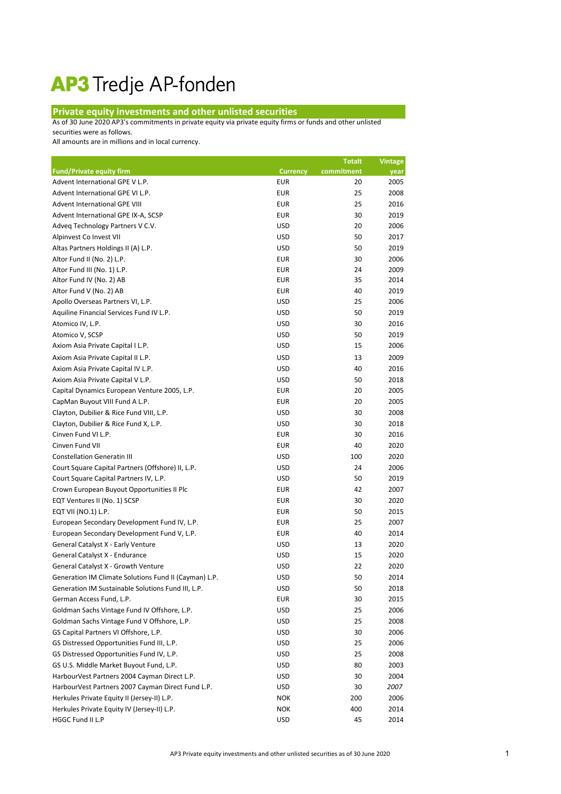## AP3 Tredje AP-fonden

## **Private equity investments and other unlisted securities**

As of 30 June 2020 AP3's commitments in private equity via private equity firms or funds and other unlisted

securities were as follows.

All amounts are in millions and in local currency.

|                                                       |                 | <b>Totalt</b> | <b>Vintage</b> |
|-------------------------------------------------------|-----------------|---------------|----------------|
| <b>Fund/Private equity firm</b>                       | <b>Currency</b> | commitment    | year           |
| Advent International GPE V L.P.                       | <b>EUR</b>      | 20            | 2005           |
| Advent International GPE VI L.P.                      | <b>EUR</b>      | 25            | 2008           |
| Advent International GPE VIII                         | <b>EUR</b>      | 25            | 2016           |
| Advent International GPE IX-A, SCSP                   | <b>EUR</b>      | 30            | 2019           |
| Adveq Technology Partners V C.V.                      | <b>USD</b>      | 20            | 2006           |
| Alpinvest Co Invest VII                               | <b>USD</b>      | 50            | 2017           |
| Altas Partners Holdings II (A) L.P.                   | <b>USD</b>      | 50            | 2019           |
| Altor Fund II (No. 2) L.P.                            | <b>EUR</b>      | 30            | 2006           |
| Altor Fund III (No. 1) L.P.                           | <b>EUR</b>      | 24            | 2009           |
| Altor Fund IV (No. 2) AB                              | <b>EUR</b>      | 35            | 2014           |
| Altor Fund V (No. 2) AB                               | <b>EUR</b>      | 40            | 2019           |
| Apollo Overseas Partners VI, L.P.                     | <b>USD</b>      | 25            | 2006           |
| Aquiline Financial Services Fund IV L.P.              | <b>USD</b>      | 50            | 2019           |
| Atomico IV, L.P.                                      | <b>USD</b>      | 30            | 2016           |
| Atomico V, SCSP                                       | <b>USD</b>      | 50            | 2019           |
| Axiom Asia Private Capital I L.P.                     | <b>USD</b>      | 15            | 2006           |
| Axiom Asia Private Capital II L.P.                    | <b>USD</b>      | 13            | 2009           |
| Axiom Asia Private Capital IV L.P.                    | <b>USD</b>      | 40            | 2016           |
| Axiom Asia Private Capital V L.P.                     | <b>USD</b>      | 50            | 2018           |
| Capital Dynamics European Venture 2005, L.P.          | <b>EUR</b>      | 20            | 2005           |
| CapMan Buyout VIII Fund A L.P.                        | <b>EUR</b>      | 20            | 2005           |
| Clayton, Dubilier & Rice Fund VIII, L.P.              | <b>USD</b>      | 30            | 2008           |
| Clayton, Dubilier & Rice Fund X, L.P.                 | <b>USD</b>      | 30            | 2018           |
| Cinven Fund VI L.P.                                   | <b>EUR</b>      | 30            | 2016           |
| Cinven Fund VII                                       | <b>EUR</b>      | 40            | 2020           |
| <b>Constellation Generatin III</b>                    | <b>USD</b>      | 100           | 2020           |
| Court Square Capital Partners (Offshore) II, L.P.     | <b>USD</b>      | 24            | 2006           |
| Court Square Capital Partners IV, L.P.                | <b>USD</b>      | 50            | 2019           |
| Crown European Buyout Opportunities II Plc            | <b>EUR</b>      | 42            | 2007           |
| EQT Ventures II (No. 1) SCSP                          | <b>EUR</b>      | 30            | 2020           |
| EQT VII (NO.1) L.P.                                   | <b>EUR</b>      | 50            | 2015           |
| European Secondary Development Fund IV, L.P.          | <b>EUR</b>      | 25            | 2007           |
| European Secondary Development Fund V, L.P.           | <b>EUR</b>      | 40            | 2014           |
| General Catalyst X - Early Venture                    | <b>USD</b>      | 13            | 2020           |
| General Catalyst X - Endurance                        | <b>USD</b>      | 15            | 2020           |
| General Catalyst X - Growth Venture                   | <b>USD</b>      | 22            | 2020           |
| Generation IM Climate Solutions Fund II (Cayman) L.P. | <b>USD</b>      | 50            | 2014           |
| Generation IM Sustainable Solutions Fund III, L.P.    | <b>USD</b>      | 50            | 2018           |
| German Access Fund, L.P.                              | <b>EUR</b>      | 30            | 2015           |
| Goldman Sachs Vintage Fund IV Offshore, L.P.          | <b>USD</b>      | 25            | 2006           |
| Goldman Sachs Vintage Fund V Offshore, L.P.           | <b>USD</b>      | 25            | 2008           |
| GS Capital Partners VI Offshore, L.P.                 | <b>USD</b>      | 30            | 2006           |
| GS Distressed Opportunities Fund III, L.P.            | <b>USD</b>      | 25            | 2006           |
| GS Distressed Opportunities Fund IV, L.P.             | <b>USD</b>      | 25            | 2008           |
| GS U.S. Middle Market Buyout Fund, L.P.               | <b>USD</b>      | 80            | 2003           |
| HarbourVest Partners 2004 Cayman Direct L.P.          | <b>USD</b>      | 30            | 2004           |
| HarbourVest Partners 2007 Cayman Direct Fund L.P.     | <b>USD</b>      | 30            | 2007           |
| Herkules Private Equity II (Jersey-II) L.P.           | <b>NOK</b>      | 200           | 2006           |
| Herkules Private Equity IV (Jersey-II) L.P.           | <b>NOK</b>      | 400           | 2014           |
| HGGC Fund II L.P                                      | <b>USD</b>      | 45            | 2014           |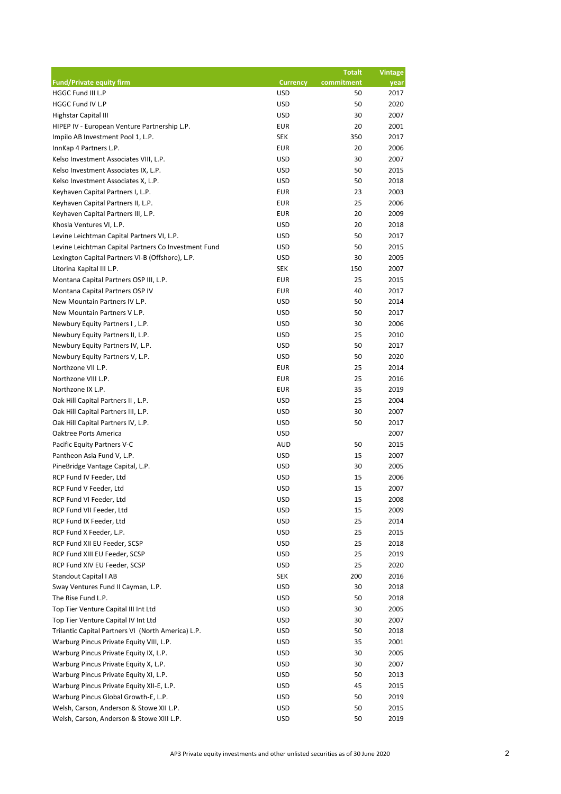|                                                      |                 | <b>Totalt</b> | <b>Vintage</b> |
|------------------------------------------------------|-----------------|---------------|----------------|
| <b>Fund/Private equity firm</b>                      | <b>Currency</b> | commitment    | year           |
| HGGC Fund III L.P                                    | <b>USD</b>      | 50            | 2017           |
| HGGC Fund IV L.P                                     | <b>USD</b>      | 50            | 2020           |
| Highstar Capital III                                 | <b>USD</b>      | 30            | 2007           |
| HIPEP IV - European Venture Partnership L.P.         | <b>EUR</b>      | 20            | 2001           |
| Impilo AB Investment Pool 1, L.P.                    | <b>SEK</b>      | 350           | 2017           |
| InnKap 4 Partners L.P.                               | <b>EUR</b>      | 20            | 2006           |
| Kelso Investment Associates VIII, L.P.               | <b>USD</b>      | 30            | 2007           |
| Kelso Investment Associates IX, L.P.                 | <b>USD</b>      | 50            | 2015           |
| Kelso Investment Associates X, L.P.                  | <b>USD</b>      | 50            | 2018           |
| Keyhaven Capital Partners I, L.P.                    | <b>EUR</b>      | 23            | 2003           |
| Keyhaven Capital Partners II, L.P.                   | <b>EUR</b>      | 25            | 2006           |
| Keyhaven Capital Partners III, L.P.                  | <b>EUR</b>      | 20            | 2009           |
| Khosla Ventures VI, L.P.                             | <b>USD</b>      | 20            | 2018           |
| Levine Leichtman Capital Partners VI, L.P.           | <b>USD</b>      | 50            | 2017           |
| Levine Leichtman Capital Partners Co Investment Fund | <b>USD</b>      | 50            | 2015           |
| Lexington Capital Partners VI-B (Offshore), L.P.     | <b>USD</b>      | 30            | 2005           |
| Litorina Kapital III L.P.                            | <b>SEK</b>      | 150           | 2007           |
| Montana Capital Partners OSP III, L.P.               | <b>EUR</b>      | 25            | 2015           |
| Montana Capital Partners OSP IV                      | <b>EUR</b>      | 40            | 2017           |
| New Mountain Partners IV L.P.                        | <b>USD</b>      | 50            | 2014           |
| New Mountain Partners V L.P.                         | <b>USD</b>      | 50            | 2017           |
| Newbury Equity Partners I, L.P.                      | <b>USD</b>      | 30            | 2006           |
| Newbury Equity Partners II, L.P.                     | <b>USD</b>      | 25            | 2010           |
| Newbury Equity Partners IV, L.P.                     | <b>USD</b>      | 50            | 2017           |
| Newbury Equity Partners V, L.P.                      | <b>USD</b>      | 50            | 2020           |
| Northzone VII L.P.                                   | <b>EUR</b>      | 25            | 2014           |
| Northzone VIII L.P.                                  | <b>EUR</b>      | 25            | 2016           |
| Northzone IX L.P.                                    | <b>EUR</b>      | 35            | 2019           |
| Oak Hill Capital Partners II, L.P.                   | <b>USD</b>      | 25            | 2004           |
| Oak Hill Capital Partners III, L.P.                  | <b>USD</b>      | 30            | 2007           |
| Oak Hill Capital Partners IV, L.P.                   | <b>USD</b>      | 50            | 2017           |
| Oaktree Ports America                                | <b>USD</b>      |               | 2007           |
| Pacific Equity Partners V-C                          | <b>AUD</b>      | 50            | 2015           |
| Pantheon Asia Fund V, L.P.                           | <b>USD</b>      | 15            | 2007           |
| PineBridge Vantage Capital, L.P.                     | <b>USD</b>      | 30            | 2005           |
| RCP Fund IV Feeder, Ltd                              | <b>USD</b>      | 15            | 2006           |
| RCP Fund V Feeder, Ltd                               | <b>USD</b>      | 15            | 2007           |
| RCP Fund VI Feeder, Ltd                              | <b>USD</b>      | 15            | 2008           |
| RCP Fund VII Feeder, Ltd                             | <b>USD</b>      | 15            | 2009           |
| RCP Fund IX Feeder, Ltd                              | <b>USD</b>      | 25            | 2014           |
| RCP Fund X Feeder, L.P.                              | <b>USD</b>      | 25            | 2015           |
| RCP Fund XII EU Feeder, SCSP                         | <b>USD</b>      | 25            | 2018           |
| RCP Fund XIII EU Feeder, SCSP                        | <b>USD</b>      | 25            | 2019           |
| RCP Fund XIV EU Feeder, SCSP                         | <b>USD</b>      | 25            | 2020           |
| <b>Standout Capital I AB</b>                         | <b>SEK</b>      | 200           | 2016           |
| Sway Ventures Fund II Cayman, L.P.                   | <b>USD</b>      | 30            | 2018           |
| The Rise Fund L.P.                                   | <b>USD</b>      | 50            | 2018           |
| Top Tier Venture Capital III Int Ltd                 | <b>USD</b>      | 30            | 2005           |
| Top Tier Venture Capital IV Int Ltd                  | <b>USD</b>      | 30            | 2007           |
| Trilantic Capital Partners VI (North America) L.P.   | <b>USD</b>      | 50            | 2018           |
| Warburg Pincus Private Equity VIII, L.P.             | <b>USD</b>      | 35            | 2001           |
| Warburg Pincus Private Equity IX, L.P.               | <b>USD</b>      | 30            | 2005           |
| Warburg Pincus Private Equity X, L.P.                | <b>USD</b>      | 30            | 2007           |
| Warburg Pincus Private Equity XI, L.P.               | <b>USD</b>      | 50            | 2013           |
| Warburg Pincus Private Equity XII-E, L.P.            | <b>USD</b>      | 45            | 2015           |
| Warburg Pincus Global Growth-E, L.P.                 | <b>USD</b>      | 50            | 2019           |
| Welsh, Carson, Anderson & Stowe XII L.P.             | <b>USD</b>      | 50            | 2015           |
| Welsh, Carson, Anderson & Stowe XIII L.P.            | <b>USD</b>      | 50            | 2019           |